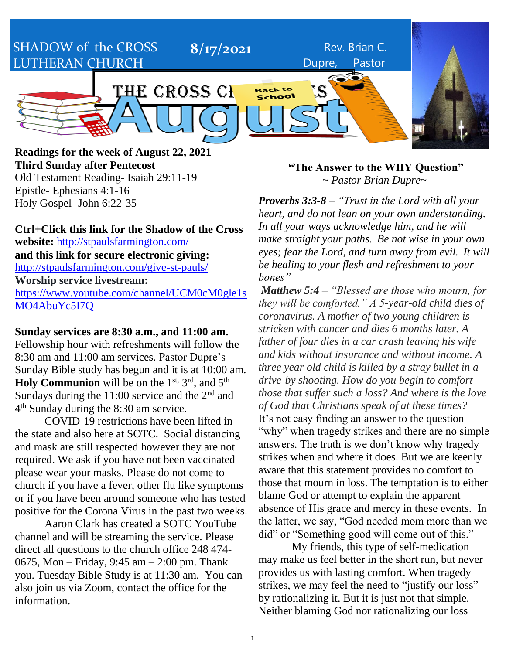SHADOW of the CROSS LUTHERAN CHURCH

THE CROSS CHRONICLES

**Readings for the week of August 22, 2021 Third Sunday after Pentecost** Old Testament Reading- Isaiah 29:11-19 Epistle- Ephesians 4:1-16 Holy Gospel- John 6:22-35

**Ctrl+Click this link for the Shadow of the Cross website:** <http://stpaulsfarmington.com/> **and this link for secure electronic giving:** <http://stpaulsfarmington.com/give-st-pauls/> **Worship service livestream:**  [https://www.youtube.com/channel/UCM0cM0gle1s](https://www.youtube.com/channel/UCM0cM0gle1sMO4AbuYc5I7Q) [MO4AbuYc5I7Q](https://www.youtube.com/channel/UCM0cM0gle1sMO4AbuYc5I7Q)

**Sunday services are 8:30 a.m., and 11:00 am.** Fellowship hour with refreshments will follow the 8:30 am and 11:00 am services. Pastor Dupre's Sunday Bible study has begun and it is at 10:00 am. **Holy Communion** will be on the 1<sup>st, 3rd</sup>, and 5<sup>th</sup> Sundays during the  $11:00$  service and the  $2<sup>nd</sup>$  and 4<sup>th</sup> Sunday during the 8:30 am service.

COVID-19 restrictions have been lifted in the state and also here at SOTC. Social distancing and mask are still respected however they are not required. We ask if you have not been vaccinated please wear your masks. Please do not come to church if you have a fever, other flu like symptoms or if you have been around someone who has tested positive for the Corona Virus in the past two weeks.

Aaron Clark has created a SOTC YouTube channel and will be streaming the service. Please direct all questions to the church office 248 474- 0675, Mon – Friday, 9:45 am – 2:00 pm. Thank you. Tuesday Bible Study is at 11:30 am. You can also join us via Zoom, contact the office for the information.

**"The Answer to the WHY Question"** ~ *Pastor Brian Dupre*~

Dupre, Pastor

**8/17/2021** Rev. Brian C.

*Proverbs 3:3-8 – "Trust in the Lord with all your heart, and do not lean on your own understanding. In all your ways acknowledge him, and he will make straight your paths. Be not wise in your own eyes; fear the Lord, and turn away from evil. It will be healing to your flesh and refreshment to your bones"*

*Matthew 5:4 – "Blessed are those who mourn, for they will be comforted." A 5-year-old child dies of coronavirus. A mother of two young children is stricken with cancer and dies 6 months later. A father of four dies in a car crash leaving his wife and kids without insurance and without income. A three year old child is killed by a stray bullet in a drive-by shooting. How do you begin to comfort those that suffer such a loss? And where is the love of God that Christians speak of at these times?* It's not easy finding an answer to the question "why" when tragedy strikes and there are no simple answers. The truth is we don't know why tragedy strikes when and where it does. But we are keenly aware that this statement provides no comfort to those that mourn in loss. The temptation is to either blame God or attempt to explain the apparent absence of His grace and mercy in these events. In the latter, we say, "God needed mom more than we did" or "Something good will come out of this."

My friends, this type of self-medication may make us feel better in the short run, but never provides us with lasting comfort. When tragedy strikes, we may feel the need to "justify our loss" by rationalizing it. But it is just not that simple. Neither blaming God nor rationalizing our loss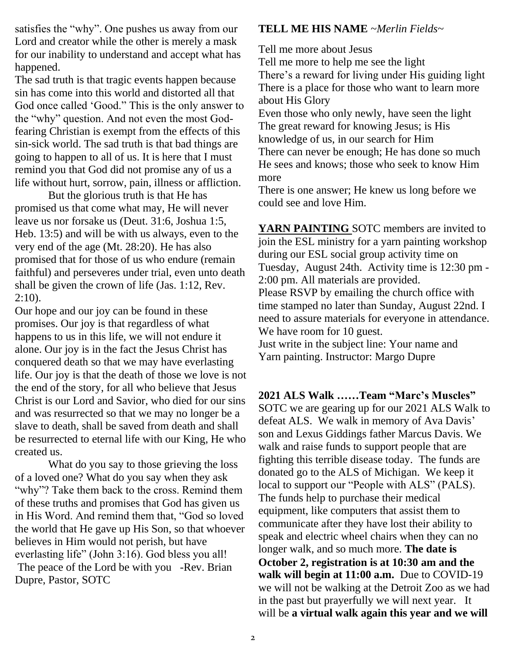satisfies the "why". One pushes us away from our Lord and creator while the other is merely a mask for our inability to understand and accept what has happened.

The sad truth is that tragic events happen because sin has come into this world and distorted all that God once called 'Good." This is the only answer to the "why" question. And not even the most Godfearing Christian is exempt from the effects of this sin-sick world. The sad truth is that bad things are going to happen to all of us. It is here that I must remind you that God did not promise any of us a life without hurt, sorrow, pain, illness or affliction.

But the glorious truth is that He has promised us that come what may, He will never leave us nor forsake us (Deut. 31:6, Joshua 1:5, Heb. 13:5) and will be with us always, even to the very end of the age (Mt. 28:20). He has also promised that for those of us who endure (remain faithful) and perseveres under trial, even unto death shall be given the crown of life (Jas. 1:12, Rev.  $2:10$ ).

Our hope and our joy can be found in these promises. Our joy is that regardless of what happens to us in this life, we will not endure it alone. Our joy is in the fact the Jesus Christ has conquered death so that we may have everlasting life. Our joy is that the death of those we love is not the end of the story, for all who believe that Jesus Christ is our Lord and Savior, who died for our sins and was resurrected so that we may no longer be a slave to death, shall be saved from death and shall be resurrected to eternal life with our King, He who created us.

What do you say to those grieving the loss of a loved one? What do you say when they ask "why"? Take them back to the cross. Remind them of these truths and promises that God has given us in His Word. And remind them that, "God so loved the world that He gave up His Son, so that whoever believes in Him would not perish, but have everlasting life" (John 3:16). God bless you all! The peace of the Lord be with you -Rev. Brian Dupre, Pastor, SOTC

#### **TELL ME HIS NAME** *~Merlin Fields~*

Tell me more about Jesus

Tell me more to help me see the light There's a reward for living under His guiding light There is a place for those who want to learn more about His Glory

Even those who only newly, have seen the light The great reward for knowing Jesus; is His knowledge of us, in our search for Him There can never be enough; He has done so much He sees and knows; those who seek to know Him more

There is one answer; He knew us long before we could see and love Him.

**YARN PAINTING** SOTC members are invited to join the ESL ministry for a yarn painting workshop during our ESL social group activity time on Tuesday, August 24th. Activity time is 12:30 pm - 2:00 pm. All materials are provided. Please RSVP by emailing the church office with time stamped no later than Sunday, August 22nd. I need to assure materials for everyone in attendance. We have room for 10 guest. Just write in the subject line: Your name and Yarn painting. Instructor: Margo Dupre

**2021 ALS Walk ……Team "Marc's Muscles"** SOTC we are gearing up for our 2021 ALS Walk to defeat ALS. We walk in memory of Ava Davis' son and Lexus Giddings father Marcus Davis. We walk and raise funds to support people that are fighting this terrible disease today. The funds are donated go to the ALS of Michigan. We keep it local to support our "People with ALS" (PALS). The funds help to purchase their medical equipment, like computers that assist them to communicate after they have lost their ability to speak and electric wheel chairs when they can no longer walk, and so much more. **The date is October 2, registration is at 10:30 am and the walk will begin at 11:00 a.m.** Due to COVID-19 we will not be walking at the Detroit Zoo as we had in the past but prayerfully we will next year. It will be **a virtual walk again this year and we will**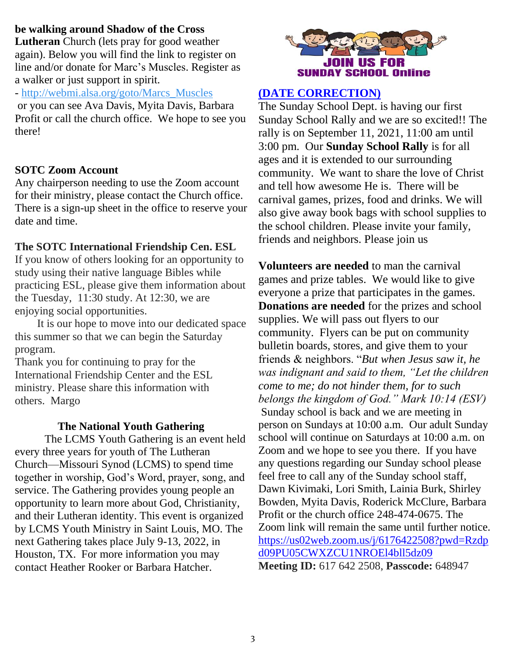#### **be walking around Shadow of the Cross**

**Lutheran** Church (lets pray for good weather again). Below you will find the link to register on line and/or donate for Marc's Muscles. Register as a walker or just support in spirit.

- [http://webmi.alsa.org/goto/Marcs\\_Muscles](http://webmi.alsa.org/goto/Marcs_Muscles)

or you can see Ava Davis, Myita Davis, Barbara Profit or call the church office. We hope to see you there!

#### **SOTC Zoom Account**

Any chairperson needing to use the Zoom account for their ministry, please contact the Church office. There is a sign-up sheet in the office to reserve your date and time.

#### **The SOTC International Friendship Cen. ESL**

If you know of others looking for an opportunity to study using their native language Bibles while practicing ESL, please give them information about the Tuesday, 11:30 study. At 12:30, we are enjoying social opportunities.

 It is our hope to move into our dedicated space this summer so that we can begin the Saturday program.

Thank you for continuing to pray for the International Friendship Center and the ESL ministry. Please share this information with others. Margo

#### **The National Youth Gathering**

The LCMS Youth Gathering is an event held every three years for youth of The Lutheran Church—Missouri Synod (LCMS) to spend time together in worship, God's Word, prayer, song, and service. The Gathering provides young people an opportunity to learn more about God, Christianity, and their Lutheran identity. This event is organized by LCMS Youth Ministry in Saint Louis, MO. The next Gathering takes place July 9-13, 2022, in Houston, TX. For more information you may contact Heather Rooker or Barbara Hatcher.



#### **(DATE CORRECTION)**

The Sunday School Dept. is having our first Sunday School Rally and we are so excited!! The rally is on September 11, 2021, 11:00 am until 3:00 pm. Our **Sunday School Rally** is for all ages and it is extended to our surrounding community. We want to share the love of Christ and tell how awesome He is. There will be carnival games, prizes, food and drinks. We will also give away book bags with school supplies to the school children. Please invite your family, friends and neighbors. Please join us

**Volunteers are needed** to man the carnival games and prize tables. We would like to give everyone a prize that participates in the games. **Donations are needed** for the prizes and school supplies. We will pass out flyers to our community. Flyers can be put on community bulletin boards, stores, and give them to your friends & neighbors. "*But when Jesus saw it, he was indignant and said to them, "Let the children come to me; do not hinder them, for to such belongs the kingdom of God." Mark 10:14 (ESV)* Sunday school is back and we are meeting in person on Sundays at 10:00 a.m. Our adult Sunday school will continue on Saturdays at 10:00 a.m. on Zoom and we hope to see you there. If you have any questions regarding our Sunday school please feel free to call any of the Sunday school staff, Dawn Kivimaki, Lori Smith, Lainia Burk, Shirley Bowden, Myita Davis, Roderick McClure, Barbara Profit or the church office 248-474-0675. The Zoom link will remain the same until further notice. [https://us02web.zoom.us/j/6176422508?pwd=Rzdp](https://us02web.zoom.us/j/6176422508?pwd=Rzdpd09PU05CWXZCU1NROEl4bll5dz09) [d09PU05CWXZCU1NROEl4bll5dz09](https://us02web.zoom.us/j/6176422508?pwd=Rzdpd09PU05CWXZCU1NROEl4bll5dz09) **Meeting ID:** 617 642 2508, **Passcode:** 648947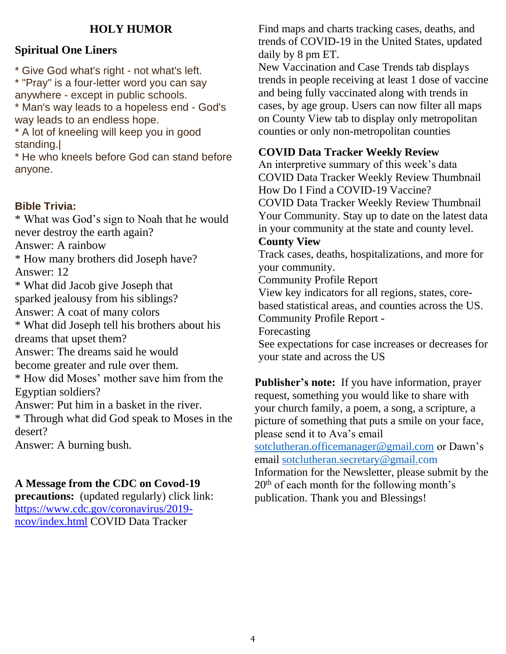#### **HOLY HUMOR**

#### **Spiritual One Liners**

\* Give God what's right - not what's left.

\* "Pray" is a four-letter word you can say anywhere - except in public schools.

\* Man's way leads to a hopeless end - God's way leads to an endless hope.

\* A lot of kneeling will keep you in good standing.|

\* He who kneels before God can stand before anyone.

#### **Bible Trivia:**

\* What was God's sign to Noah that he would never destroy the earth again? Answer: A rainbow \* How many brothers did Joseph have? Answer: 12 \* What did Jacob give Joseph that sparked jealousy from his siblings? Answer: A coat of many colors \* What did Joseph tell his brothers about his dreams that upset them? Answer: The dreams said he would become greater and rule over them. \* How did Moses' mother save him from the Egyptian soldiers? Answer: Put him in a basket in the river. \* Through what did God speak to Moses in the desert? Answer: A burning bush.

#### **A Message from the CDC on Covod-19**

**precautions:** (updated regularly) click link: [https://www.cdc.gov/coronavirus/2019](https://www.cdc.gov/coronavirus/2019-ncov/index.html) [ncov/index.html](https://www.cdc.gov/coronavirus/2019-ncov/index.html) COVID Data Tracker

Find maps and charts tracking cases, deaths, and trends of COVID-19 in the United States, updated daily by 8 pm ET.

New Vaccination and Case Trends tab displays trends in people receiving at least 1 dose of vaccine and being fully vaccinated along with trends in cases, by age group. Users can now filter all maps on County View tab to display only metropolitan counties or only non-metropolitan counties

#### **COVID Data Tracker Weekly Review**

An interpretive summary of this week's data COVID Data Tracker Weekly Review Thumbnail How Do I Find a COVID-19 Vaccine?

COVID Data Tracker Weekly Review Thumbnail Your Community. Stay up to date on the latest data in your community at the state and county level.

#### **County View**

Track cases, deaths, hospitalizations, and more for your community.

Community Profile Report

View key indicators for all regions, states, corebased statistical areas, and counties across the US.

Community Profile Report -

Forecasting

See expectations for case increases or decreases for your state and across the US

**Publisher's note:** If you have information, prayer request, something you would like to share with your church family, a poem, a song, a scripture, a picture of something that puts a smile on your face, please send it to Ava's email

[sotclutheran.officemanager@gmail.com](mailto:sotclutheran.officemanager@gmail.com) or Dawn's email [sotclutheran.secretary@gmail.com](mailto:sotclutheran.secretary@gmail.com)

Information for the Newsletter, please submit by the 20th of each month for the following month's publication. Thank you and Blessings!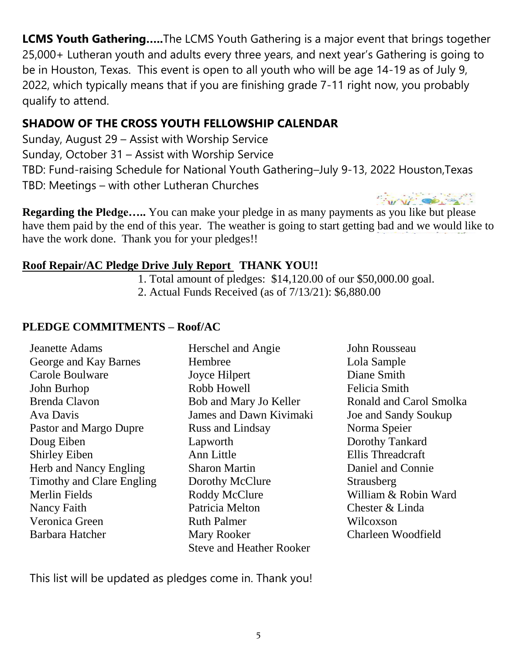**LCMS Youth Gathering…..**The LCMS Youth Gathering is a major event that brings together 25,000+ Lutheran youth and adults every three years, and next year's Gathering is going to be in Houston, Texas. This event is open to all youth who will be age 14-19 as of July 9, 2022, which typically means that if you are finishing grade 7-11 right now, you probably qualify to attend.

### **SHADOW OF THE CROSS YOUTH FELLOWSHIP CALENDAR**

Sunday, August 29 – Assist with Worship Service Sunday, October 31 – Assist with Worship Service TBD: Fund-raising Schedule for National Youth Gathering–July 9-13, 2022 Houston,Texas TBD: Meetings – with other Lutheran Churches

**Regarding the Pledge…..** You can make your pledge in as many payments as you like but please have them paid by the end of this year. The weather is going to start getting bad and we would like to have the work done. Thank you for your pledges!!

### **Roof Repair/AC Pledge Drive July Report THANK YOU!!**

1. Total amount of pledges: \$14,120.00 of our \$50,000.00 goal.

2. Actual Funds Received (as of 7/13/21): \$6,880.00

### **PLEDGE COMMITMENTS – Roof/AC**

Jeanette Adams George and Kay Barnes Carole Boulware John Burhop Brenda Clavon Ava Davis Pastor and Margo Dupre Doug Eiben Shirley Eiben Herb and Nancy Engling Timothy and Clare Engling Merlin Fields Nancy Faith Veronica Green Barbara Hatcher

- Herschel and Angie Hembree Joyce Hilpert Robb Howell Bob and Mary Jo Keller James and Dawn Kivimaki Russ and Lindsay Lapworth Ann Little Sharon Martin Dorothy McClure Roddy McClure Patricia Melton Ruth Palmer Mary Rooker Steve and Heather Rooker
- John Rousseau Lola Sample Diane Smith Felicia Smith Ronald and Carol Smolka Joe and Sandy Soukup Norma Speier Dorothy Tankard Ellis Threadcraft Daniel and Connie **Strausberg** William & Robin Ward Chester & Linda Wilcoxson Charleen Woodfield

This list will be updated as pledges come in. Thank you!